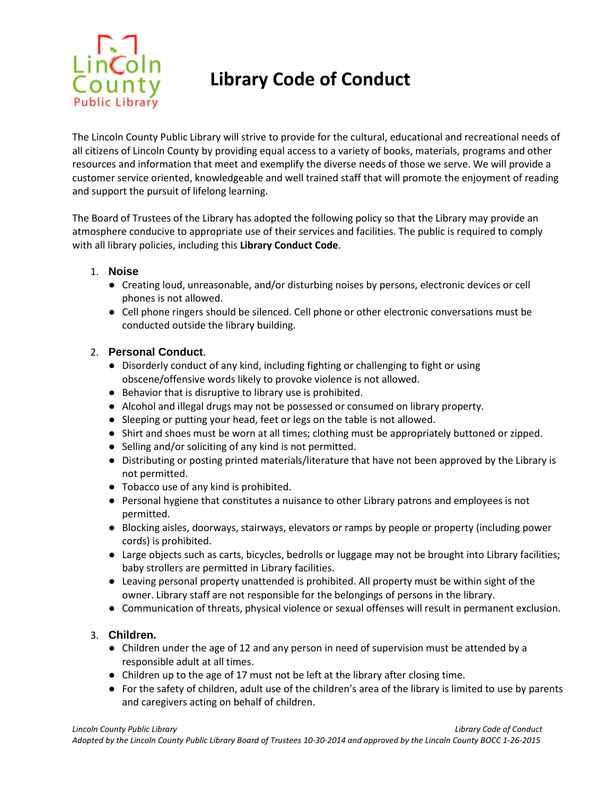

# **Library Code of Conduct**

The Lincoln County Public Library will strive to provide for the cultural, educational and recreational needs of all citizens of Lincoln County by providing equal access to a variety of books, materials, programs and other resources and information that meet and exemplify the diverse needs of those we serve. We will provide a customer service oriented, knowledgeable and well trained staff that will promote the enjoyment of reading and support the pursuit of lifelong learning.

The Board of Trustees of the Library has adopted the following policy so that the Library may provide an atmosphere conducive to appropriate use of their services and facilities. The public is required to comply with all library policies, including this **Library Conduct Code**.

## 1. **Noise**

- **●** Creating loud, unreasonable, and/or disturbing noises by persons, electronic devices or cell phones is not allowed.
- **●** Cell phone ringers should be silenced. Cell phone or other electronic conversations must be conducted outside the library building.

## 2. **Personal Conduct**.

- **●** Disorderly conduct of any kind, including fighting or challenging to fight or using obscene/offensive words likely to provoke violence is not allowed.
- **●** Behavior that is disruptive to library use is prohibited.
- **●** Alcohol and illegal drugs may not be possessed or consumed on library property.
- **●** Sleeping or putting your head, feet or legs on the table is not allowed.
- **●** Shirt and shoes must be worn at all times; clothing must be appropriately buttoned or zipped.
- **●** Selling and/or soliciting of any kind is not permitted.
- **●** Distributing or posting printed materials/literature that have not been approved by the Library is not permitted.
- **●** Tobacco use of any kind is prohibited.
- **●** Personal hygiene that constitutes a nuisance to other Library patrons and employees is not permitted.
- **●** Blocking aisles, doorways, stairways, elevators or ramps by people or property (including power cords) is prohibited.
- **●** Large objects such as carts, bicycles, bedrolls or luggage may not be brought into Library facilities; baby strollers are permitted in Library facilities.
- **●** Leaving personal property unattended is prohibited. All property must be within sight of the owner. Library staff are not responsible for the belongings of persons in the library.
- **●** Communication of threats, physical violence or sexual offenses will result in permanent exclusion.

# 3. **Children.**

- **●** Children under the age of 12 and any person in need of supervision must be attended by a responsible adult at all times.
- **●** Children up to the age of 17 must not be left at the library after closing time.
- **●** For the safety of children, adult use of the children's area of the library is limited to use by parents and caregivers acting on behalf of children.